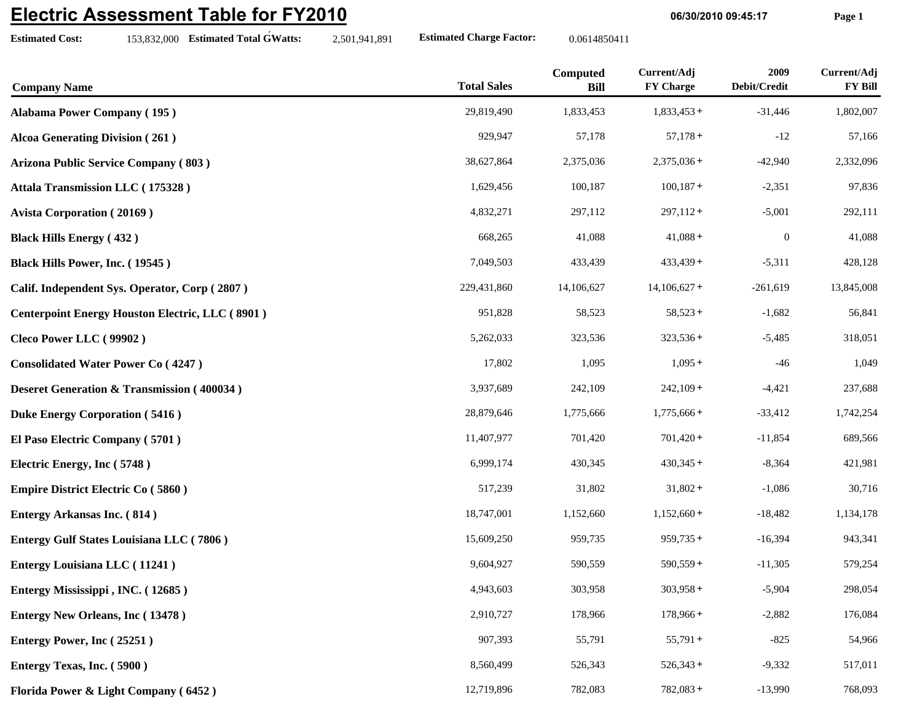## **Electric Assessment Table for FY2010**

**Estimated Cost:**

**06/30/2010 09:45:17 Page 1**

| <b>Company Name</b>                                    | <b>Total Sales</b> | Computed<br><b>Bill</b> | Current/Adj<br><b>FY Charge</b> | 2009<br>Debit/Credit | Current/Adj<br><b>FY Bill</b> |
|--------------------------------------------------------|--------------------|-------------------------|---------------------------------|----------------------|-------------------------------|
| <b>Alabama Power Company (195)</b>                     | 29,819,490         | 1,833,453               | $1,833,453+$                    | $-31,446$            | 1,802,007                     |
| <b>Alcoa Generating Division (261)</b>                 | 929,947            | 57,178                  | $57,178+$                       | $-12$                | 57,166                        |
| <b>Arizona Public Service Company (803)</b>            | 38,627,864         | 2,375,036               | $2,375,036+$                    | $-42,940$            | 2,332,096                     |
| Attala Transmission LLC (175328)                       | 1,629,456          | 100,187                 | $100,187+$                      | $-2,351$             | 97,836                        |
| <b>Avista Corporation (20169)</b>                      | 4,832,271          | 297,112                 | $297,112+$                      | $-5,001$             | 292,111                       |
| <b>Black Hills Energy (432)</b>                        | 668,265            | 41,088                  | $41,088+$                       | $\boldsymbol{0}$     | 41,088                        |
| Black Hills Power, Inc. (19545)                        | 7,049,503          | 433,439                 | $433,439+$                      | $-5,311$             | 428,128                       |
| Calif. Independent Sys. Operator, Corp (2807)          | 229,431,860        | 14,106,627              | $14,106,627+$                   | $-261,619$           | 13,845,008                    |
| <b>Centerpoint Energy Houston Electric, LLC (8901)</b> | 951,828            | 58,523                  | $58,523+$                       | $-1,682$             | 56,841                        |
| Cleco Power LLC (99902)                                | 5,262,033          | 323,536                 | $323,536+$                      | $-5,485$             | 318,051                       |
| <b>Consolidated Water Power Co (4247)</b>              | 17,802             | 1,095                   | $1,095+$                        | $-46$                | 1,049                         |
| <b>Deseret Generation &amp; Transmission (400034)</b>  | 3,937,689          | 242,109                 | $242,109+$                      | $-4,421$             | 237,688                       |
| <b>Duke Energy Corporation (5416)</b>                  | 28,879,646         | 1,775,666               | $1,775,666+$                    | $-33,412$            | 1,742,254                     |
| El Paso Electric Company (5701)                        | 11,407,977         | 701,420                 | $701,420+$                      | $-11,854$            | 689,566                       |
| Electric Energy, Inc (5748)                            | 6,999,174          | 430,345                 | $430,345+$                      | $-8,364$             | 421,981                       |
| <b>Empire District Electric Co (5860)</b>              | 517,239            | 31,802                  | $31,802 +$                      | $-1,086$             | 30,716                        |
| <b>Entergy Arkansas Inc. (814)</b>                     | 18,747,001         | 1,152,660               | $1,152,660+$                    | $-18,482$            | 1,134,178                     |
| <b>Entergy Gulf States Louisiana LLC (7806)</b>        | 15,609,250         | 959,735                 | $959,735+$                      | $-16,394$            | 943,341                       |
| <b>Entergy Louisiana LLC</b> (11241)                   | 9,604,927          | 590,559                 | $590,559+$                      | $-11,305$            | 579,254                       |
| Entergy Mississippi, INC. (12685)                      | 4,943,603          | 303,958                 | $303,958+$                      | $-5,904$             | 298,054                       |
| <b>Entergy New Orleans, Inc (13478)</b>                | 2,910,727          | 178,966                 | $178,966+$                      | $-2,882$             | 176,084                       |
| Entergy Power, Inc (25251)                             | 907,393            | 55,791                  | $55,791+$                       | $-825$               | 54,966                        |
| Entergy Texas, Inc. (5900)                             | 8,560,499          | 526,343                 | $526,343+$                      | $-9,332$             | 517,011                       |
| Florida Power & Light Company (6452)                   | 12,719,896         | 782,083                 | $782,083+$                      | $-13,990$            | 768,093                       |

153,832,000 **Estimated Total GWatts:** 2,501,941,891 **Estimated Charge Factor:** 0.0614850411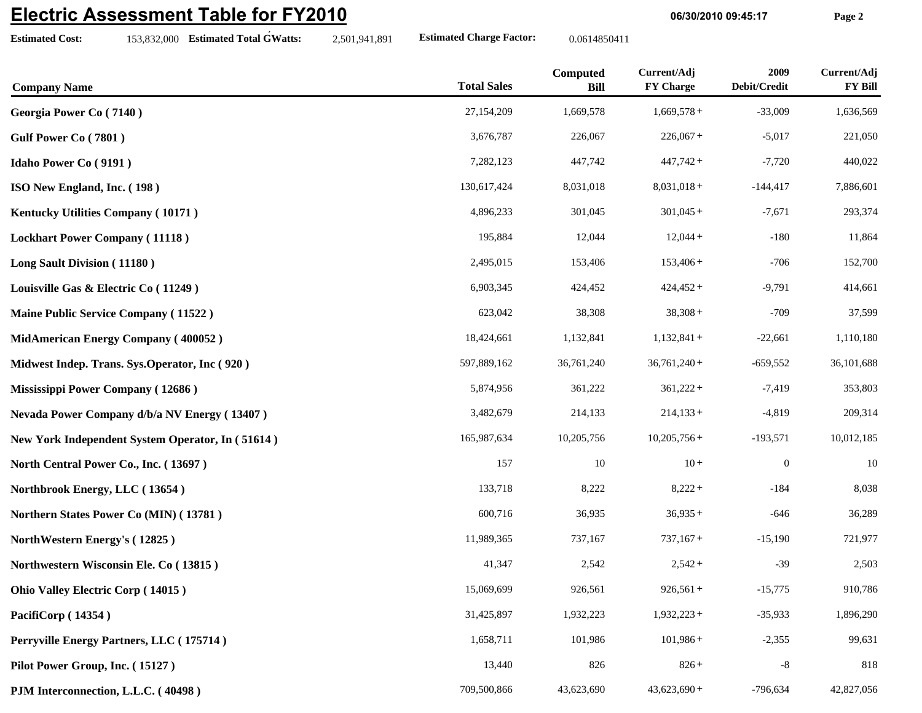## **Electric Assessment Table for FY2010**

| <b>Electric Assessment Table for FY2010</b> |                                                  |               | 06/30/2010 09:45:17             |                         |                                 | Page 2               |                               |
|---------------------------------------------|--------------------------------------------------|---------------|---------------------------------|-------------------------|---------------------------------|----------------------|-------------------------------|
| <b>Estimated Cost:</b>                      | 153,832,000 Estimated Total GWatts:              | 2,501,941,891 | <b>Estimated Charge Factor:</b> | 0.0614850411            |                                 |                      |                               |
| <b>Company Name</b>                         |                                                  |               | <b>Total Sales</b>              | Computed<br><b>Bill</b> | Current/Adj<br><b>FY Charge</b> | 2009<br>Debit/Credit | Current/Adj<br><b>FY Bill</b> |
| Georgia Power Co (7140)                     |                                                  |               | 27,154,209                      | 1,669,578               | $1,669,578+$                    | $-33,009$            | 1,636,569                     |
| Gulf Power Co (7801)                        |                                                  |               | 3,676,787                       | 226,067                 | $226,067+$                      | $-5,017$             | 221,050                       |
| <b>Idaho Power Co (9191)</b>                |                                                  |               | 7,282,123                       | 447,742                 | $447,742+$                      | $-7,720$             | 440,022                       |
| ISO New England, Inc. (198)                 |                                                  |               | 130,617,424                     | 8,031,018               | $8,031,018+$                    | $-144,417$           | 7,886,601                     |
| Kentucky Utilities Company (10171)          |                                                  |               | 4,896,233                       | 301,045                 | $301,045+$                      | $-7,671$             | 293,374                       |
| <b>Lockhart Power Company (11118)</b>       |                                                  |               | 195,884                         | 12,044                  | $12,044+$                       | $-180$               | 11,864                        |
| Long Sault Division (11180)                 |                                                  |               | 2,495,015                       | 153,406                 | $153,406+$                      | $-706$               | 152,700                       |
| Louisville Gas & Electric Co (11249)        |                                                  |               | 6,903,345                       | 424,452                 | $424,452+$                      | $-9,791$             | 414,661                       |
|                                             | <b>Maine Public Service Company (11522)</b>      |               | 623,042                         | 38,308                  | $38,308 +$                      | $-709$               | 37,599                        |
|                                             | MidAmerican Energy Company (400052)              |               | 18,424,661                      | 1,132,841               | $1,132,841+$                    | $-22,661$            | 1,110,180                     |
|                                             | Midwest Indep. Trans. Sys.Operator, Inc (920)    |               | 597,889,162                     | 36,761,240              | $36,761,240+$                   | $-659,552$           | 36,101,688                    |
| Mississippi Power Company (12686)           |                                                  |               | 5,874,956                       | 361,222                 | $361,222+$                      | $-7,419$             | 353,803                       |
|                                             | Nevada Power Company d/b/a NV Energy (13407)     |               | 3,482,679                       | 214,133                 | $214,133+$                      | $-4,819$             | 209,314                       |
|                                             | New York Independent System Operator, In (51614) |               | 165,987,634                     | 10,205,756              | $10,205,756+$                   | $-193,571$           | 10,012,185                    |
| North Central Power Co., Inc. (13697)       |                                                  |               | 157                             | 10                      | $10 +$                          | $\boldsymbol{0}$     | $10\,$                        |
| Northbrook Energy, LLC (13654)              |                                                  |               | 133,718                         | 8,222                   | $8,222 +$                       | $-184$               | 8,038                         |
|                                             | Northern States Power Co (MIN) (13781)           |               | 600,716                         | 36,935                  | $36,935+$                       | $-646$               | 36,289                        |
| NorthWestern Energy's (12825)               |                                                  |               | 11,989,365                      | 737,167                 | $737,167+$                      | $-15,190$            | 721,977                       |
|                                             | Northwestern Wisconsin Ele. Co (13815)           |               | 41,347                          | 2,542                   | $2,542+$                        | $-39$                | 2,503                         |
| <b>Ohio Valley Electric Corp (14015)</b>    |                                                  |               | 15,069,699                      | 926,561                 | $926,561+$                      | $-15,775$            | 910,786                       |
| PacifiCorp (14354)                          |                                                  |               | 31,425,897                      | 1,932,223               | $1,932,223+$                    | $-35,933$            | 1,896,290                     |

**Perryville Energy Partners, LLC ( 175714 )** 1,658,711 101,986 101,986 + 2,355 99,631

**Pilot Power Group, Inc. (15127**) 13,440 826 826 + 818

**PJM Interconnection, L.L.C. (40498) 709,500,866 43,623,690 43,623,690 +** -796,634 **42,827,056**